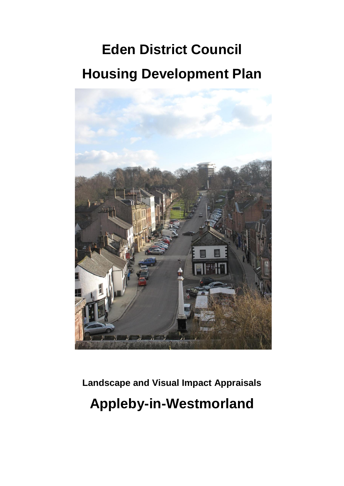# **Eden District Council Housing Development Plan**



**Landscape and Visual Impact Appraisals Appleby-in-Westmorland**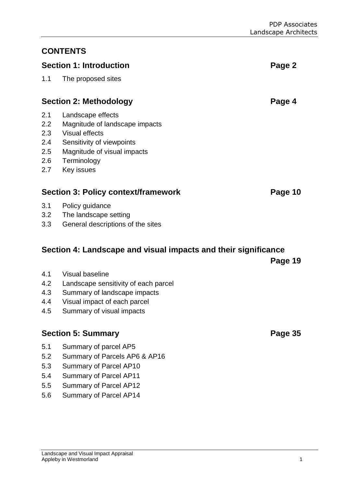## **CONTENTS**

## **Section 1: Introduction Page 2**

## 1.1 The proposed sites

## **Section 2: Methodology Page 4**

- 2.1 Landscape effects
- 2.2 Magnitude of landscape impacts
- 2.3 Visual effects
- 2.4 Sensitivity of viewpoints
- 2.5 Magnitude of visual impacts
- 2.6 Terminology
- 2.7 Key issues

## **Section 3: Policy context/framework <b>Page 10**

- 3.1 Policy guidance
- 3.2 The landscape setting
- 3.3 General descriptions of the sites

## **Section 4: Landscape and visual impacts and their significance**

**Page 19**

- 4.1 Visual baseline
- 4.2 Landscape sensitivity of each parcel
- 4.3 Summary of landscape impacts
- 4.4 Visual impact of each parcel
- 4.5 Summary of visual impacts

## **Section 5: Summary Page 35**

- 5.1 Summary of parcel AP5
- 5.2 Summary of Parcels AP6 & AP16
- 5.3 Summary of Parcel AP10
- 5.4 Summary of Parcel AP11
- 5.5 Summary of Parcel AP12
- 5.6 Summary of Parcel AP14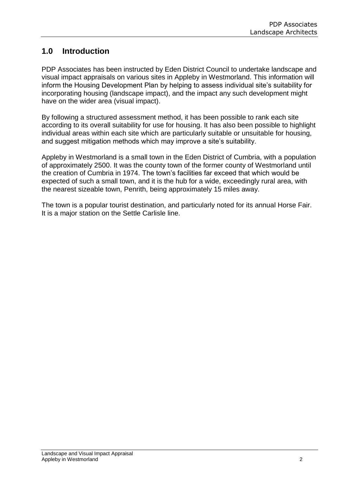## **1.0 Introduction**

PDP Associates has been instructed by Eden District Council to undertake landscape and visual impact appraisals on various sites in Appleby in Westmorland. This information will inform the Housing Development Plan by helping to assess individual site's suitability for incorporating housing (landscape impact), and the impact any such development might have on the wider area (visual impact).

By following a structured assessment method, it has been possible to rank each site according to its overall suitability for use for housing. It has also been possible to highlight individual areas within each site which are particularly suitable or unsuitable for housing, and suggest mitigation methods which may improve a site's suitability.

Appleby in Westmorland is a small town in the Eden District of Cumbria, with a population of approximately 2500. It was the county town of the former county of Westmorland until the creation of Cumbria in 1974. The town's facilities far exceed that which would be expected of such a small town, and it is the hub for a wide, exceedingly rural area, with the nearest sizeable town, Penrith, being approximately 15 miles away.

The town is a popular tourist destination, and particularly noted for its annual Horse Fair. It is a major station on the Settle Carlisle line.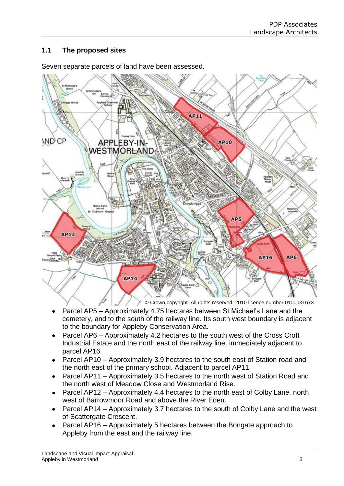## **1.1 The proposed sites**



Seven separate parcels of land have been assessed.

- Parcel AP5 Approximately 4.75 hectares between St Michael's Lane and the cemetery, and to the south of the railway line. Its south west boundary is adjacent to the boundary for Appleby Conservation Area.
- Parcel AP6 Approximately 4.2 hectares to the south west of the Cross Croft Industrial Estate and the north east of the railway line, immediately adjacent to parcel AP16.
- Parcel AP10 Approximately 3.9 hectares to the south east of Station road and  $\bullet$ the north east of the primary school. Adjacent to parcel AP11.
- Parcel AP11 Approximately 3.5 hectares to the north west of Station Road and the north west of Meadow Close and Westmorland Rise.
- Parcel AP12 Approximately 4,4 hectares to the north east of Colby Lane, north  $\bullet$ west of Barrowmoor Road and above the River Eden.
- Parcel AP14 Approximately 3.7 hectares to the south of Colby Lane and the west of Scattergate Crescent.
- Parcel AP16 Approximately 5 hectares between the Bongate approach to Appleby from the east and the railway line.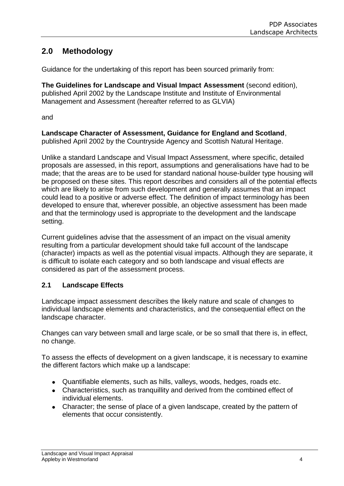## **2.0 Methodology**

Guidance for the undertaking of this report has been sourced primarily from:

**The Guidelines for Landscape and Visual Impact Assessment** (second edition), published April 2002 by the Landscape Institute and Institute of Environmental Management and Assessment (hereafter referred to as GLVIA)

and

**Landscape Character of Assessment, Guidance for England and Scotland**, published April 2002 by the Countryside Agency and Scottish Natural Heritage.

Unlike a standard Landscape and Visual Impact Assessment, where specific, detailed proposals are assessed, in this report, assumptions and generalisations have had to be made; that the areas are to be used for standard national house-builder type housing will be proposed on these sites. This report describes and considers all of the potential effects which are likely to arise from such development and generally assumes that an impact could lead to a positive or adverse effect. The definition of impact terminology has been developed to ensure that, wherever possible, an objective assessment has been made and that the terminology used is appropriate to the development and the landscape setting.

Current guidelines advise that the assessment of an impact on the visual amenity resulting from a particular development should take full account of the landscape (character) impacts as well as the potential visual impacts. Although they are separate, it is difficult to isolate each category and so both landscape and visual effects are considered as part of the assessment process.

## **2.1 Landscape Effects**

Landscape impact assessment describes the likely nature and scale of changes to individual landscape elements and characteristics, and the consequential effect on the landscape character.

Changes can vary between small and large scale, or be so small that there is, in effect, no change.

To assess the effects of development on a given landscape, it is necessary to examine the different factors which make up a landscape:

- Quantifiable elements, such as hills, valleys, woods, hedges, roads etc.
- Characteristics, such as tranquillity and derived from the combined effect of individual elements.
- Character; the sense of place of a given landscape, created by the pattern of elements that occur consistently.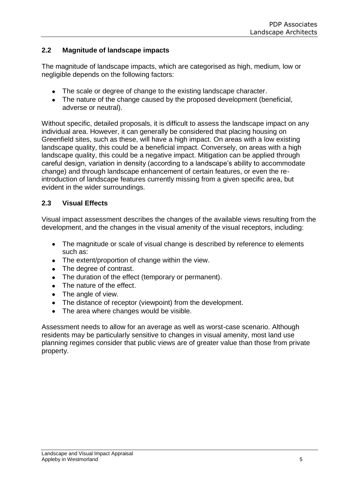## **2.2 Magnitude of landscape impacts**

The magnitude of landscape impacts, which are categorised as high, medium, low or negligible depends on the following factors:

- The scale or degree of change to the existing landscape character.
- The nature of the change caused by the proposed development (beneficial, adverse or neutral).

Without specific, detailed proposals, it is difficult to assess the landscape impact on any individual area. However, it can generally be considered that placing housing on Greenfield sites, such as these, will have a high impact. On areas with a low existing landscape quality, this could be a beneficial impact. Conversely, on areas with a high landscape quality, this could be a negative impact. Mitigation can be applied through careful design, variation in density (according to a landscape's ability to accommodate change) and through landscape enhancement of certain features, or even the reintroduction of landscape features currently missing from a given specific area, but evident in the wider surroundings.

## **2.3 Visual Effects**

Visual impact assessment describes the changes of the available views resulting from the development, and the changes in the visual amenity of the visual receptors, including:

- $\bullet$ The magnitude or scale of visual change is described by reference to elements such as:
- The extent/proportion of change within the view.  $\bullet$
- $\bullet$ The degree of contrast.
- The duration of the effect (temporary or permanent).
- The nature of the effect.
- The angle of view.
- The distance of receptor (viewpoint) from the development.
- The area where changes would be visible.

Assessment needs to allow for an average as well as worst-case scenario. Although residents may be particularly sensitive to changes in visual amenity, most land use planning regimes consider that public views are of greater value than those from private property.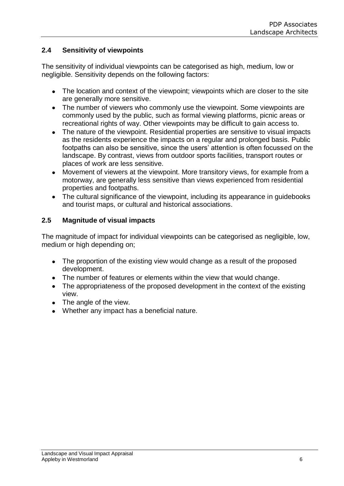## **2.4 Sensitivity of viewpoints**

The sensitivity of individual viewpoints can be categorised as high, medium, low or negligible. Sensitivity depends on the following factors:

- $\bullet$ The location and context of the viewpoint; viewpoints which are closer to the site are generally more sensitive.
- The number of viewers who commonly use the viewpoint. Some viewpoints are commonly used by the public, such as formal viewing platforms, picnic areas or recreational rights of way. Other viewpoints may be difficult to gain access to.
- $\bullet$ The nature of the viewpoint. Residential properties are sensitive to visual impacts as the residents experience the impacts on a regular and prolonged basis. Public footpaths can also be sensitive, since the users' attention is often focussed on the landscape. By contrast, views from outdoor sports facilities, transport routes or places of work are less sensitive.
- Movement of viewers at the viewpoint. More transitory views, for example from a  $\bullet$ motorway, are generally less sensitive than views experienced from residential properties and footpaths.
- The cultural significance of the viewpoint, including its appearance in guidebooks  $\bullet$ and tourist maps, or cultural and historical associations.

## **2.5 Magnitude of visual impacts**

The magnitude of impact for individual viewpoints can be categorised as negligible, low, medium or high depending on;

- $\bullet$ The proportion of the existing view would change as a result of the proposed development.
- The number of features or elements within the view that would change.
- The appropriateness of the proposed development in the context of the existing view.
- The angle of the view.
- Whether any impact has a beneficial nature.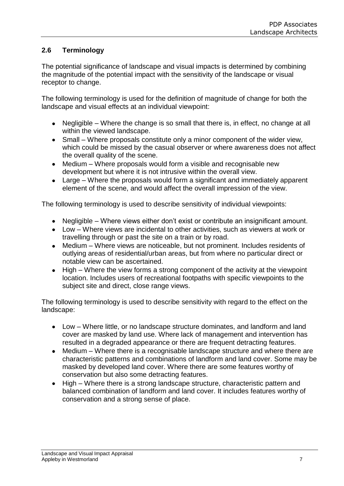## **2.6 Terminology**

The potential significance of landscape and visual impacts is determined by combining the magnitude of the potential impact with the sensitivity of the landscape or visual receptor to change.

The following terminology is used for the definition of magnitude of change for both the landscape and visual effects at an individual viewpoint:

- Negligible Where the change is so small that there is, in effect, no change at all within the viewed landscape.
- Small Where proposals constitute only a minor component of the wider view, which could be missed by the casual observer or where awareness does not affect the overall quality of the scene.
- Medium Where proposals would form a visible and recognisable new  $\bullet$ development but where it is not intrusive within the overall view.
- $\bullet$ Large – Where the proposals would form a significant and immediately apparent element of the scene, and would affect the overall impression of the view.

The following terminology is used to describe sensitivity of individual viewpoints:

- Negligible Where views either don't exist or contribute an insignificant amount.
- Low Where views are incidental to other activities, such as viewers at work or travelling through or past the site on a train or by road.
- Medium Where views are noticeable, but not prominent. Includes residents of  $\bullet$ outlying areas of residential/urban areas, but from where no particular direct or notable view can be ascertained.
- High Where the view forms a strong component of the activity at the viewpoint  $\bullet$ location. Includes users of recreational footpaths with specific viewpoints to the subject site and direct, close range views.

The following terminology is used to describe sensitivity with regard to the effect on the landscape:

- Low Where little, or no landscape structure dominates, and landform and land cover are masked by land use. Where lack of management and intervention has resulted in a degraded appearance or there are frequent detracting features.
- Medium Where there is a recognisable landscape structure and where there are  $\bullet$ characteristic patterns and combinations of landform and land cover. Some may be masked by developed land cover. Where there are some features worthy of conservation but also some detracting features.
- High Where there is a strong landscape structure, characteristic pattern and  $\bullet$ balanced combination of landform and land cover. It includes features worthy of conservation and a strong sense of place.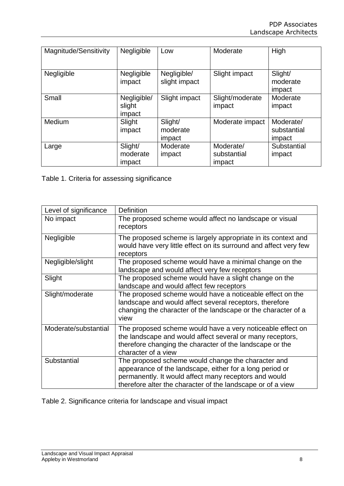| Magnitude/Sensitivity | Negligible                      | Low                           | Moderate                           | High                               |
|-----------------------|---------------------------------|-------------------------------|------------------------------------|------------------------------------|
| Negligible            | Negligible<br>impact            | Negligible/<br>slight impact  | Slight impact                      | Slight/<br>moderate<br>impact      |
| Small                 | Negligible/<br>slight<br>impact | Slight impact                 | Slight/moderate<br>impact          | Moderate<br>impact                 |
| Medium                | Slight<br>impact                | Slight/<br>moderate<br>impact | Moderate impact                    | Moderate/<br>substantial<br>impact |
| Large                 | Slight/<br>moderate<br>impact   | Moderate<br>impact            | Moderate/<br>substantial<br>impact | Substantial<br>impact              |

Table 1. Criteria for assessing significance

| Level of significance | <b>Definition</b>                                                                                                                                                                                                                      |
|-----------------------|----------------------------------------------------------------------------------------------------------------------------------------------------------------------------------------------------------------------------------------|
| No impact             | The proposed scheme would affect no landscape or visual<br>receptors                                                                                                                                                                   |
| Negligible            | The proposed scheme is largely appropriate in its context and<br>would have very little effect on its surround and affect very few<br>receptors                                                                                        |
| Negligible/slight     | The proposed scheme would have a minimal change on the<br>landscape and would affect very few receptors                                                                                                                                |
| Slight                | The proposed scheme would have a slight change on the<br>landscape and would affect few receptors                                                                                                                                      |
| Slight/moderate       | The proposed scheme would have a noticeable effect on the<br>landscape and would affect several receptors, therefore<br>changing the character of the landscape or the character of a<br>view                                          |
| Moderate/substantial  | The proposed scheme would have a very noticeable effect on<br>the landscape and would affect several or many receptors,<br>therefore changing the character of the landscape or the<br>character of a view                             |
| Substantial           | The proposed scheme would change the character and<br>appearance of the landscape, either for a long period or<br>permanently. It would affect many receptors and would<br>therefore alter the character of the landscape or of a view |

Table 2. Significance criteria for landscape and visual impact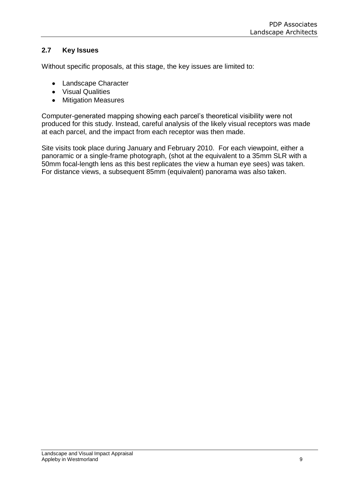## **2.7 Key Issues**

Without specific proposals, at this stage, the key issues are limited to:

- Landscape Character
- Visual Qualities
- $\bullet$ Mitigation Measures

Computer-generated mapping showing each parcel's theoretical visibility were not produced for this study. Instead, careful analysis of the likely visual receptors was made at each parcel, and the impact from each receptor was then made.

Site visits took place during January and February 2010. For each viewpoint, either a panoramic or a single-frame photograph, (shot at the equivalent to a 35mm SLR with a 50mm focal-length lens as this best replicates the view a human eye sees) was taken. For distance views, a subsequent 85mm (equivalent) panorama was also taken.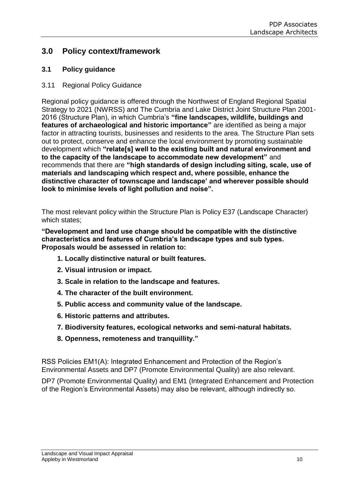## **3.0 Policy context/framework**

## **3.1 Policy guidance**

3.11 Regional Policy Guidance

Regional policy guidance is offered through the Northwest of England Regional Spatial Strategy to 2021 (NWRSS) and The Cumbria and Lake District Joint Structure Plan 2001- 2016 (Structure Plan), in which Cumbria's **"fine landscapes, wildlife, buildings and features of archaeological and historic importance"** are identified as being a major factor in attracting tourists, businesses and residents to the area. The Structure Plan sets out to protect, conserve and enhance the local environment by promoting sustainable development which **"relate[s] well to the existing built and natural environment and to the capacity of the landscape to accommodate new development"** and recommends that there are **"high standards of design including siting, scale, use of materials and landscaping which respect and, where possible, enhance the distinctive character of townscape and landscape' and wherever possible should look to minimise levels of light pollution and noise".**

The most relevant policy within the Structure Plan is Policy E37 (Landscape Character) which states;

**"Development and land use change should be compatible with the distinctive characteristics and features of Cumbria's landscape types and sub types. Proposals would be assessed in relation to:**

- **1. Locally distinctive natural or built features.**
- **2. Visual intrusion or impact.**
- **3. Scale in relation to the landscape and features.**
- **4. The character of the built environment.**
- **5. Public access and community value of the landscape.**
- **6. Historic patterns and attributes.**
- **7. Biodiversity features, ecological networks and semi-natural habitats.**
- **8. Openness, remoteness and tranquillity."**

RSS Policies EM1(A): Integrated Enhancement and Protection of the Region's Environmental Assets and DP7 (Promote Environmental Quality) are also relevant.

DP7 (Promote Environmental Quality) and EM1 (Integrated Enhancement and Protection of the Region's Environmental Assets) may also be relevant, although indirectly so.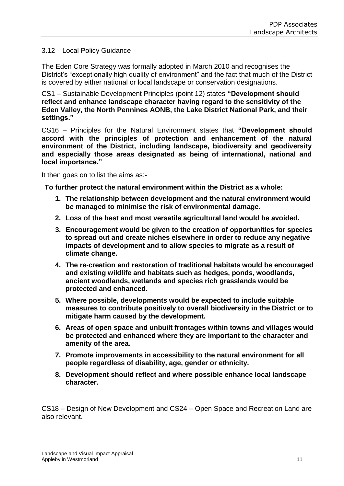#### 3.12 Local Policy Guidance

The Eden Core Strategy was formally adopted in March 2010 and recognises the District's "exceptionally high quality of environment" and the fact that much of the District is covered by either national or local landscape or conservation designations.

CS1 – Sustainable Development Principles (point 12) states **"Development should reflect and enhance landscape character having regard to the sensitivity of the Eden Valley, the North Pennines AONB, the Lake District National Park, and their settings."**

CS16 – Principles for the Natural Environment states that **"Development should accord with the principles of protection and enhancement of the natural environment of the District, including landscape, biodiversity and geodiversity and especially those areas designated as being of international, national and local importance."**

It then goes on to list the aims as:-

**To further protect the natural environment within the District as a whole:** 

- **1. The relationship between development and the natural environment would be managed to minimise the risk of environmental damage.**
- **2. Loss of the best and most versatile agricultural land would be avoided.**
- **3. Encouragement would be given to the creation of opportunities for species to spread out and create niches elsewhere in order to reduce any negative impacts of development and to allow species to migrate as a result of climate change.**
- **4. The re-creation and restoration of traditional habitats would be encouraged and existing wildlife and habitats such as hedges, ponds, woodlands, ancient woodlands, wetlands and species rich grasslands would be protected and enhanced.**
- **5. Where possible, developments would be expected to include suitable measures to contribute positively to overall biodiversity in the District or to mitigate harm caused by the development.**
- **6. Areas of open space and unbuilt frontages within towns and villages would be protected and enhanced where they are important to the character and amenity of the area.**
- **7. Promote improvements in accessibility to the natural environment for all people regardless of disability, age, gender or ethnicity.**
- **8. Development should reflect and where possible enhance local landscape character.**

CS18 – Design of New Development and CS24 – Open Space and Recreation Land are also relevant.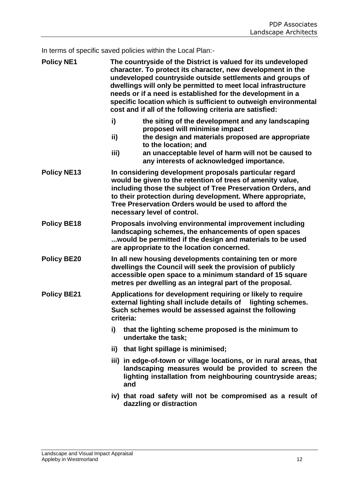In terms of specific saved policies within the Local Plan:-

| <b>Policy NE1</b>  | The countryside of the District is valued for its undeveloped<br>character. To protect its character, new development in the<br>undeveloped countryside outside settlements and groups of<br>dwellings will only be permitted to meet local infrastructure<br>needs or if a need is established for the development in a<br>specific location which is sufficient to outweigh environmental<br>cost and if all of the following criteria are satisfied: |                                                                                                                                                                                                                                                                                                                                           |  |  |  |
|--------------------|---------------------------------------------------------------------------------------------------------------------------------------------------------------------------------------------------------------------------------------------------------------------------------------------------------------------------------------------------------------------------------------------------------------------------------------------------------|-------------------------------------------------------------------------------------------------------------------------------------------------------------------------------------------------------------------------------------------------------------------------------------------------------------------------------------------|--|--|--|
|                    | i)<br>ii)<br>iii)                                                                                                                                                                                                                                                                                                                                                                                                                                       | the siting of the development and any landscaping<br>proposed will minimise impact<br>the design and materials proposed are appropriate<br>to the location; and<br>an unacceptable level of harm will not be caused to<br>any interests of acknowledged importance.                                                                       |  |  |  |
| <b>Policy NE13</b> |                                                                                                                                                                                                                                                                                                                                                                                                                                                         | In considering development proposals particular regard<br>would be given to the retention of trees of amenity value,<br>including those the subject of Tree Preservation Orders, and<br>to their protection during development. Where appropriate,<br>Tree Preservation Orders would be used to afford the<br>necessary level of control. |  |  |  |
| <b>Policy BE18</b> |                                                                                                                                                                                                                                                                                                                                                                                                                                                         | Proposals involving environmental improvement including<br>landscaping schemes, the enhancements of open spaces<br>would be permitted if the design and materials to be used<br>are appropriate to the location concerned.                                                                                                                |  |  |  |
| <b>Policy BE20</b> |                                                                                                                                                                                                                                                                                                                                                                                                                                                         | In all new housing developments containing ten or more<br>dwellings the Council will seek the provision of publicly<br>accessible open space to a minimum standard of 15 square<br>metres per dwelling as an integral part of the proposal.                                                                                               |  |  |  |
| <b>Policy BE21</b> | Applications for development requiring or likely to require<br>external lighting shall include details of lighting schemes.<br>Such schemes would be assessed against the following<br>criteria:                                                                                                                                                                                                                                                        |                                                                                                                                                                                                                                                                                                                                           |  |  |  |
|                    | i)                                                                                                                                                                                                                                                                                                                                                                                                                                                      | that the lighting scheme proposed is the minimum to<br>undertake the task;                                                                                                                                                                                                                                                                |  |  |  |
|                    |                                                                                                                                                                                                                                                                                                                                                                                                                                                         | ii) that light spillage is minimised;                                                                                                                                                                                                                                                                                                     |  |  |  |
|                    | and                                                                                                                                                                                                                                                                                                                                                                                                                                                     | iii) in edge-of-town or village locations, or in rural areas, that<br>landscaping measures would be provided to screen the<br>lighting installation from neighbouring countryside areas;                                                                                                                                                  |  |  |  |
|                    |                                                                                                                                                                                                                                                                                                                                                                                                                                                         | iv) that road safety will not be compromised as a result of<br>dazzling or distraction                                                                                                                                                                                                                                                    |  |  |  |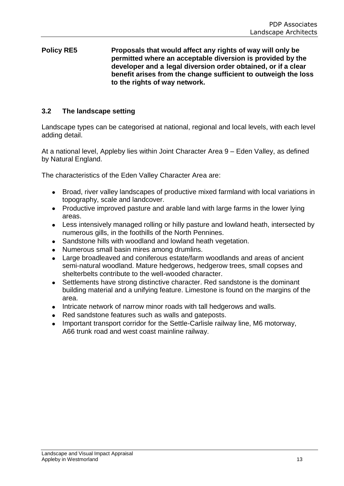## **Policy RE5 Proposals that would affect any rights of way will only be permitted where an acceptable diversion is provided by the developer and a legal diversion order obtained, or if a clear benefit arises from the change sufficient to outweigh the loss to the rights of way network.**

## **3.2 The landscape setting**

Landscape types can be categorised at national, regional and local levels, with each level adding detail.

At a national level, Appleby lies within Joint Character Area 9 – Eden Valley, as defined by Natural England.

The characteristics of the Eden Valley Character Area are:

- $\bullet$ Broad, river valley landscapes of productive mixed farmland with local variations in topography, scale and landcover.
- Productive improved pasture and arable land with large farms in the lower lying  $\bullet$ areas.
- Less intensively managed rolling or hilly pasture and lowland heath, intersected by  $\bullet$ numerous gills, in the foothills of the North Pennines.
- Sandstone hills with woodland and lowland heath vegetation.  $\bullet$
- Numerous small basin mires among drumlins.  $\bullet$
- Large broadleaved and coniferous estate/farm woodlands and areas of ancient semi-natural woodland. Mature hedgerows, hedgerow trees, small copses and shelterbelts contribute to the well-wooded character.
- Settlements have strong distinctive character. Red sandstone is the dominant  $\bullet$ building material and a unifying feature. Limestone is found on the margins of the area.
- Intricate network of narrow minor roads with tall hedgerows and walls.  $\bullet$
- Red sandstone features such as walls and gateposts.  $\bullet$
- Important transport corridor for the Settle-Carlisle railway line, M6 motorway,  $\bullet$ A66 trunk road and west coast mainline railway.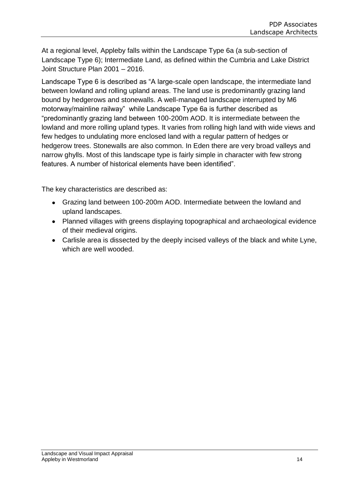At a regional level, Appleby falls within the Landscape Type 6a (a sub-section of Landscape Type 6); Intermediate Land, as defined within the Cumbria and Lake District Joint Structure Plan 2001 – 2016.

Landscape Type 6 is described as "A large-scale open landscape, the intermediate land between lowland and rolling upland areas. The land use is predominantly grazing land bound by hedgerows and stonewalls. A well-managed landscape interrupted by M6 motorway/mainline railway" while Landscape Type 6a is further described as "predominantly grazing land between 100-200m AOD. It is intermediate between the lowland and more rolling upland types. It varies from rolling high land with wide views and few hedges to undulating more enclosed land with a regular pattern of hedges or hedgerow trees. Stonewalls are also common. In Eden there are very broad valleys and narrow ghylls. Most of this landscape type is fairly simple in character with few strong features. A number of historical elements have been identified".

The key characteristics are described as:

- Grazing land between 100-200m AOD. Intermediate between the lowland and upland landscapes.
- Planned villages with greens displaying topographical and archaeological evidence of their medieval origins.
- Carlisle area is dissected by the deeply incised valleys of the black and white Lyne, which are well wooded.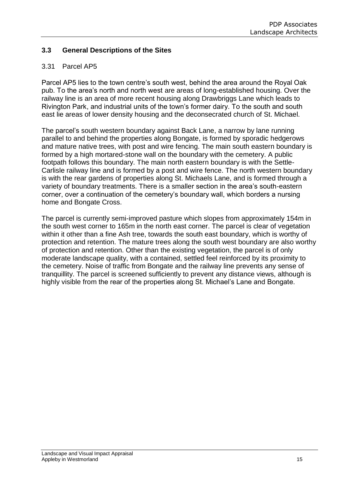## **3.3 General Descriptions of the Sites**

## 3.31 Parcel AP5

Parcel AP5 lies to the town centre's south west, behind the area around the Royal Oak pub. To the area's north and north west are areas of long-established housing. Over the railway line is an area of more recent housing along Drawbriggs Lane which leads to Rivington Park, and industrial units of the town's former dairy. To the south and south east lie areas of lower density housing and the deconsecrated church of St. Michael.

The parcel's south western boundary against Back Lane, a narrow by lane running parallel to and behind the properties along Bongate, is formed by sporadic hedgerows and mature native trees, with post and wire fencing. The main south eastern boundary is formed by a high mortared-stone wall on the boundary with the cemetery. A public footpath follows this boundary. The main north eastern boundary is with the Settle-Carlisle railway line and is formed by a post and wire fence. The north western boundary is with the rear gardens of properties along St. Michaels Lane, and is formed through a variety of boundary treatments. There is a smaller section in the area's south-eastern corner, over a continuation of the cemetery's boundary wall, which borders a nursing home and Bongate Cross.

The parcel is currently semi-improved pasture which slopes from approximately 154m in the south west corner to 165m in the north east corner. The parcel is clear of vegetation within it other than a fine Ash tree, towards the south east boundary, which is worthy of protection and retention. The mature trees along the south west boundary are also worthy of protection and retention. Other than the existing vegetation, the parcel is of only moderate landscape quality, with a contained, settled feel reinforced by its proximity to the cemetery. Noise of traffic from Bongate and the railway line prevents any sense of tranquillity. The parcel is screened sufficiently to prevent any distance views, although is highly visible from the rear of the properties along St. Michael's Lane and Bongate.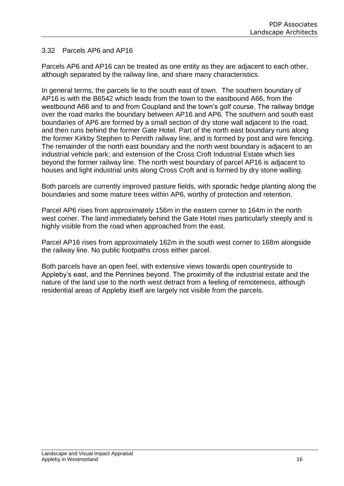### 3.32 Parcels AP6 and AP16

Parcels AP6 and AP16 can be treated as one entity as they are adjacent to each other, although separated by the railway line, and share many characteristics.

In general terms, the parcels lie to the south east of town. The southern boundary of AP16 is with the B6542 which leads from the town to the eastbound A66, from the westbound A66 and to and from Coupland and the town's golf course. The railway bridge over the road marks the boundary between AP16 and AP6. The southern and south east boundaries of AP6 are formed by a small section of dry stone wall adjacent to the road, and then runs behind the former Gate Hotel. Part of the north east boundary runs along the former Kirkby Stephen to Penrith railway line, and is formed by post and wire fencing. The remainder of the north east boundary and the north west boundary is adjacent to an industrial vehicle park; and extension of the Cross Croft Industrial Estate which lies beyond the former railway line. The north west boundary of parcel AP16 is adjacent to houses and light industrial units along Cross Croft and is formed by dry stone walling.

Both parcels are currently improved pasture fields, with sporadic hedge planting along the boundaries and some mature trees within AP6, worthy of protection and retention.

Parcel AP6 rises from approximately 156m in the eastern corner to 164m in the north west corner. The land immediately behind the Gate Hotel rises particularly steeply and is highly visible from the road when approached from the east.

Parcel AP16 rises from approximately 162m in the south west corner to 168m alongside the railway line. No public footpaths cross either parcel.

Both parcels have an open feel, with extensive views towards open countryside to Appleby's east, and the Pennines beyond. The proximity of the industrial estate and the nature of the land use to the north west detract from a feeling of remoteness, although residential areas of Appleby itself are largely not visible from the parcels.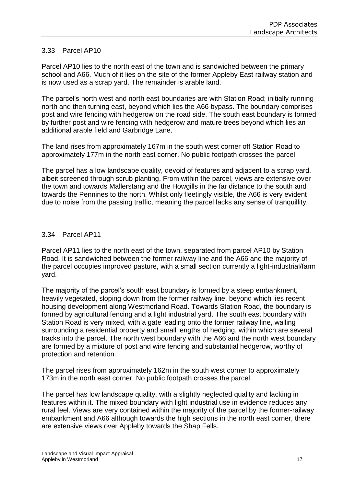## 3.33 Parcel AP10

Parcel AP10 lies to the north east of the town and is sandwiched between the primary school and A66. Much of it lies on the site of the former Appleby East railway station and is now used as a scrap yard. The remainder is arable land.

The parcel's north west and north east boundaries are with Station Road; initially running north and then turning east, beyond which lies the A66 bypass. The boundary comprises post and wire fencing with hedgerow on the road side. The south east boundary is formed by further post and wire fencing with hedgerow and mature trees beyond which lies an additional arable field and Garbridge Lane.

The land rises from approximately 167m in the south west corner off Station Road to approximately 177m in the north east corner. No public footpath crosses the parcel.

The parcel has a low landscape quality, devoid of features and adjacent to a scrap yard, albeit screened through scrub planting. From within the parcel, views are extensive over the town and towards Mallerstang and the Howgills in the far distance to the south and towards the Pennines to the north. Whilst only fleetingly visible, the A66 is very evident due to noise from the passing traffic, meaning the parcel lacks any sense of tranquillity.

#### 3.34 Parcel AP11

Parcel AP11 lies to the north east of the town, separated from parcel AP10 by Station Road. It is sandwiched between the former railway line and the A66 and the majority of the parcel occupies improved pasture, with a small section currently a light-industrial/farm yard.

The majority of the parcel's south east boundary is formed by a steep embankment, heavily vegetated, sloping down from the former railway line, beyond which lies recent housing development along Westmorland Road. Towards Station Road, the boundary is formed by agricultural fencing and a light industrial yard. The south east boundary with Station Road is very mixed, with a gate leading onto the former railway line, walling surrounding a residential property and small lengths of hedging, within which are several tracks into the parcel. The north west boundary with the A66 and the north west boundary are formed by a mixture of post and wire fencing and substantial hedgerow, worthy of protection and retention.

The parcel rises from approximately 162m in the south west corner to approximately 173m in the north east corner. No public footpath crosses the parcel.

The parcel has low landscape quality, with a slightly neglected quality and lacking in features within it. The mixed boundary with light industrial use in evidence reduces any rural feel. Views are very contained within the majority of the parcel by the former-railway embankment and A66 although towards the high sections in the north east corner, there are extensive views over Appleby towards the Shap Fells.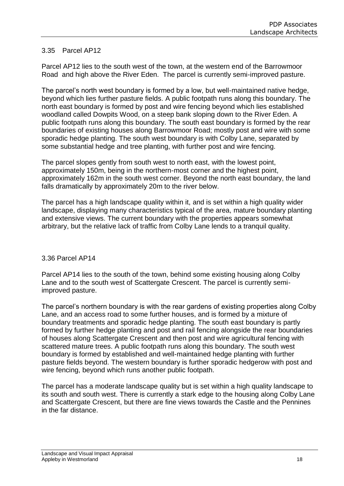## 3.35 Parcel AP12

Parcel AP12 lies to the south west of the town, at the western end of the Barrowmoor Road and high above the River Eden. The parcel is currently semi-improved pasture.

The parcel's north west boundary is formed by a low, but well-maintained native hedge, beyond which lies further pasture fields. A public footpath runs along this boundary. The north east boundary is formed by post and wire fencing beyond which lies established woodland called Dowpits Wood, on a steep bank sloping down to the River Eden. A public footpath runs along this boundary. The south east boundary is formed by the rear boundaries of existing houses along Barrowmoor Road; mostly post and wire with some sporadic hedge planting. The south west boundary is with Colby Lane, separated by some substantial hedge and tree planting, with further post and wire fencing.

The parcel slopes gently from south west to north east, with the lowest point, approximately 150m, being in the northern-most corner and the highest point, approximately 162m in the south west corner. Beyond the north east boundary, the land falls dramatically by approximately 20m to the river below.

The parcel has a high landscape quality within it, and is set within a high quality wider landscape, displaying many characteristics typical of the area, mature boundary planting and extensive views. The current boundary with the properties appears somewhat arbitrary, but the relative lack of traffic from Colby Lane lends to a tranquil quality.

#### 3.36 Parcel AP14

Parcel AP14 lies to the south of the town, behind some existing housing along Colby Lane and to the south west of Scattergate Crescent. The parcel is currently semiimproved pasture.

The parcel's northern boundary is with the rear gardens of existing properties along Colby Lane, and an access road to some further houses, and is formed by a mixture of boundary treatments and sporadic hedge planting. The south east boundary is partly formed by further hedge planting and post and rail fencing alongside the rear boundaries of houses along Scattergate Crescent and then post and wire agricultural fencing with scattered mature trees. A public footpath runs along this boundary. The south west boundary is formed by established and well-maintained hedge planting with further pasture fields beyond. The western boundary is further sporadic hedgerow with post and wire fencing, beyond which runs another public footpath.

The parcel has a moderate landscape quality but is set within a high quality landscape to its south and south west. There is currently a stark edge to the housing along Colby Lane and Scattergate Crescent, but there are fine views towards the Castle and the Pennines in the far distance.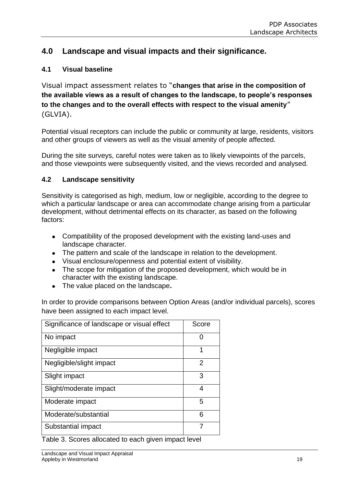## **4.0 Landscape and visual impacts and their significance.**

## **4.1 Visual baseline**

Visual impact assessment relates to "**changes that arise in the composition of the available views as a result of changes to the landscape, to people's responses to the changes and to the overall effects with respect to the visual amenity**" (GLVIA).

Potential visual receptors can include the public or community at large, residents, visitors and other groups of viewers as well as the visual amenity of people affected.

During the site surveys, careful notes were taken as to likely viewpoints of the parcels, and those viewpoints were subsequently visited, and the views recorded and analysed.

## **4.2 Landscape sensitivity**

Sensitivity is categorised as high, medium, low or negligible, according to the degree to which a particular landscape or area can accommodate change arising from a particular development, without detrimental effects on its character, as based on the following factors:

- Compatibility of the proposed development with the existing land-uses and landscape character.
- The pattern and scale of the landscape in relation to the development.
- Visual enclosure/openness and potential extent of visibility.
- The scope for mitigation of the proposed development, which would be in character with the existing landscape.
- The value placed on the landscape**.**

In order to provide comparisons between Option Areas (and/or individual parcels), scores have been assigned to each impact level.

| Significance of landscape or visual effect | Score |
|--------------------------------------------|-------|
| No impact                                  |       |
| Negligible impact                          | 1     |
| Negligible/slight impact                   | 2     |
| Slight impact                              | 3     |
| Slight/moderate impact                     | 4     |
| Moderate impact                            | 5     |
| Moderate/substantial                       | 6     |
| Substantial impact                         |       |
|                                            |       |

Table 3. Scores allocated to each given impact level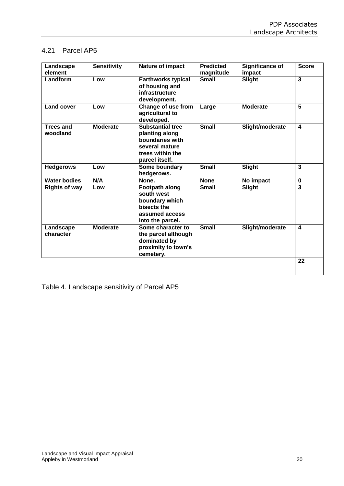## 4.21 Parcel AP5

| Landscape<br>element         | <b>Sensitivity</b> | Nature of impact                                                                                                     | <b>Predicted</b><br>magnitude | Significance of<br>impact | <b>Score</b>            |
|------------------------------|--------------------|----------------------------------------------------------------------------------------------------------------------|-------------------------------|---------------------------|-------------------------|
| Landform                     | Low                | <b>Earthworks typical</b><br>of housing and<br>infrastructure<br>development.                                        | <b>Small</b>                  | <b>Slight</b>             | $\overline{\mathbf{3}}$ |
| <b>Land cover</b>            | Low                | Change of use from<br>agricultural to<br>developed.                                                                  | Large                         | <b>Moderate</b>           | 5                       |
| <b>Trees and</b><br>woodland | <b>Moderate</b>    | <b>Substantial tree</b><br>planting along<br>boundaries with<br>several mature<br>trees within the<br>parcel itself. | <b>Small</b>                  | Slight/moderate           | $\overline{\mathbf{4}}$ |
| <b>Hedgerows</b>             | Low                | Some boundary<br>hedgerows.                                                                                          | <b>Small</b>                  | Slight                    | $\overline{\mathbf{3}}$ |
| <b>Water bodies</b>          | N/A                | None.                                                                                                                | <b>None</b>                   | No impact                 | $\bf{0}$                |
| <b>Rights of way</b>         | Low                | Footpath along<br>south west<br>boundary which<br>bisects the<br>assumed access<br>into the parcel.                  | <b>Small</b>                  | <b>Slight</b>             | $\overline{\mathbf{3}}$ |
| Landscape<br>character       | <b>Moderate</b>    | Some character to<br>the parcel although<br>dominated by<br>proximity to town's<br>cemetery.                         | <b>Small</b>                  | Slight/moderate           | 4                       |
|                              |                    |                                                                                                                      |                               |                           | 22                      |

Table 4. Landscape sensitivity of Parcel AP5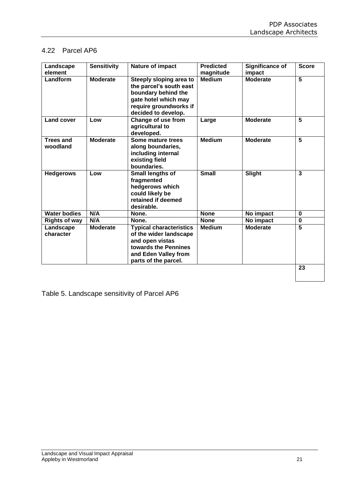## 4.22 Parcel AP6

| Landscape<br>element         | <b>Sensitivity</b> | Nature of impact                                                                                                                                    | <b>Predicted</b><br>magnitude | <b>Significance of</b><br>impact | <b>Score</b>            |
|------------------------------|--------------------|-----------------------------------------------------------------------------------------------------------------------------------------------------|-------------------------------|----------------------------------|-------------------------|
| Landform                     | <b>Moderate</b>    | Steeply sloping area to<br>the parcel's south east<br>boundary behind the<br>gate hotel which may<br>require groundworks if<br>decided to develop.  | <b>Medium</b>                 | <b>Moderate</b>                  | $\overline{5}$          |
| <b>Land cover</b>            | Low                | Change of use from<br>agricultural to<br>developed.                                                                                                 | Large                         | <b>Moderate</b>                  | 5                       |
| <b>Trees and</b><br>woodland | <b>Moderate</b>    | Some mature trees<br>along boundaries,<br>including internal<br>existing field<br>boundaries.                                                       | <b>Medium</b>                 | <b>Moderate</b>                  | $\overline{\mathbf{5}}$ |
| <b>Hedgerows</b>             | Low                | Small lengths of<br>fragmented<br>hedgerows which<br>could likely be<br>retained if deemed<br>desirable.                                            | <b>Small</b>                  | Slight                           | 3                       |
| <b>Water bodies</b>          | N/A                | None.                                                                                                                                               | <b>None</b>                   | No impact                        | $\bf{0}$                |
| <b>Rights of way</b>         | N/A                | None.                                                                                                                                               | <b>None</b>                   | No impact                        | 0                       |
| Landscape<br>character       | <b>Moderate</b>    | <b>Typical characteristics</b><br>of the wider landscape<br>and open vistas<br>towards the Pennines<br>and Eden Valley from<br>parts of the parcel. | <b>Medium</b>                 | <b>Moderate</b>                  | $\overline{5}$          |
|                              |                    |                                                                                                                                                     |                               |                                  | 23                      |

Table 5. Landscape sensitivity of Parcel AP6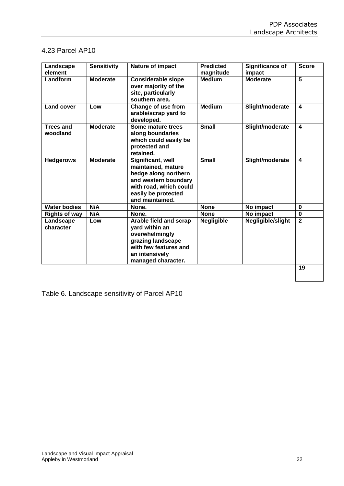## 4.23 Parcel AP10

| Landscape<br>element         | <b>Sensitivity</b> | Nature of impact                                                                                                                                            | <b>Predicted</b><br>magnitude | Significance of<br>impact | <b>Score</b>            |
|------------------------------|--------------------|-------------------------------------------------------------------------------------------------------------------------------------------------------------|-------------------------------|---------------------------|-------------------------|
| Landform                     | <b>Moderate</b>    | <b>Considerable slope</b><br>over majority of the<br>site, particularly<br>southern area.                                                                   | <b>Medium</b>                 | <b>Moderate</b>           | $\overline{5}$          |
| <b>Land cover</b>            | Low                | Change of use from<br>arable/scrap yard to<br>developed.                                                                                                    | <b>Medium</b>                 | Slight/moderate           | $\overline{\mathbf{4}}$ |
| <b>Trees and</b><br>woodland | <b>Moderate</b>    | Some mature trees<br>along boundaries<br>which could easily be<br>protected and<br>retained.                                                                | <b>Small</b>                  | Slight/moderate           | $\overline{\mathbf{4}}$ |
| <b>Hedgerows</b>             | <b>Moderate</b>    | Significant, well<br>maintained, mature<br>hedge along northern<br>and western boundary<br>with road, which could<br>easily be protected<br>and maintained. | <b>Small</b>                  | Slight/moderate           | $\overline{\mathbf{4}}$ |
| <b>Water bodies</b>          | N/A                | None.                                                                                                                                                       | <b>None</b>                   | No impact                 | $\bf{0}$                |
| <b>Rights of way</b>         | N/A                | None.                                                                                                                                                       | <b>None</b>                   | No impact                 | $\mathbf 0$             |
| Landscape<br>character       | Low                | Arable field and scrap<br>yard within an<br>overwhelmingly<br>grazing landscape<br>with few features and<br>an intensively<br>managed character.            | <b>Negligible</b>             | Negligible/slight         | $\mathbf{2}$            |
|                              |                    |                                                                                                                                                             |                               |                           | 19                      |

Table 6. Landscape sensitivity of Parcel AP10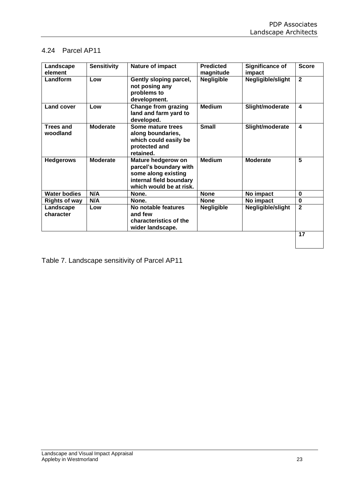## 4.24 Parcel AP11

| Landscape<br>element         | <b>Sensitivity</b> | Nature of impact                                                                                                          | <b>Predicted</b><br>magnitude | Significance of<br>impact | <b>Score</b>            |
|------------------------------|--------------------|---------------------------------------------------------------------------------------------------------------------------|-------------------------------|---------------------------|-------------------------|
| Landform                     | Low                | Gently sloping parcel,<br>not posing any<br>problems to<br>development.                                                   | <b>Negligible</b>             | Negligible/slight         | $\mathbf{2}$            |
| <b>Land cover</b>            | Low                | <b>Change from grazing</b><br>land and farm yard to<br>developed.                                                         | Medium                        | Slight/moderate           | $\overline{\mathbf{4}}$ |
| <b>Trees and</b><br>woodland | <b>Moderate</b>    | Some mature trees<br>along boundaries,<br>which could easily be<br>protected and<br>retained.                             | <b>Small</b>                  | Slight/moderate           | 4                       |
| <b>Hedgerows</b>             | <b>Moderate</b>    | Mature hedgerow on<br>parcel's boundary with<br>some along existing<br>internal field boundary<br>which would be at risk. | <b>Medium</b>                 | <b>Moderate</b>           | 5                       |
| <b>Water bodies</b>          | N/A                | None.                                                                                                                     | <b>None</b>                   | No impact                 | $\mathbf 0$             |
| <b>Rights of way</b>         | N/A                | None.                                                                                                                     | <b>None</b>                   | No impact                 | $\mathbf 0$             |
| Landscape<br>character       | Low                | No notable features<br>and few<br>characteristics of the<br>wider landscape.                                              | <b>Negligible</b>             | Negligible/slight         | $\overline{2}$          |
|                              |                    |                                                                                                                           |                               |                           | 17                      |

Table 7. Landscape sensitivity of Parcel AP11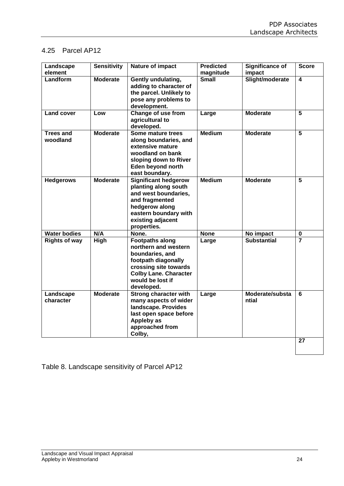## 4.25 Parcel AP12

| Landscape<br>element         | <b>Sensitivity</b> | Nature of impact                                                                                                                                                                    | <b>Predicted</b><br>magnitude | Significance of<br>impact | <b>Score</b>   |
|------------------------------|--------------------|-------------------------------------------------------------------------------------------------------------------------------------------------------------------------------------|-------------------------------|---------------------------|----------------|
| Landform                     | <b>Moderate</b>    | Gently undulating,<br>adding to character of<br>the parcel. Unlikely to<br>pose any problems to<br>development.                                                                     | <b>Small</b>                  | Slight/moderate           | $\overline{4}$ |
| <b>Land cover</b>            | Low                | Change of use from<br>agricultural to<br>developed.                                                                                                                                 | Large                         | <b>Moderate</b>           | 5              |
| <b>Trees and</b><br>woodland | <b>Moderate</b>    | Some mature trees<br>along boundaries, and<br>extensive mature<br>woodland on bank<br>sloping down to River<br>Eden beyond north<br>east boundary.                                  | <b>Medium</b>                 | <b>Moderate</b>           | $\overline{5}$ |
| <b>Hedgerows</b>             | <b>Moderate</b>    | <b>Significant hedgerow</b><br>planting along south<br>and west boundaries,<br>and fragmented<br>hedgerow along<br>eastern boundary with<br>existing adjacent<br>properties.        | <b>Medium</b>                 | <b>Moderate</b>           | $\overline{5}$ |
| <b>Water bodies</b>          | N/A                | None.                                                                                                                                                                               | <b>None</b>                   | No impact                 | $\mathbf 0$    |
| <b>Rights of way</b>         | <b>High</b>        | <b>Footpaths along</b><br>northern and western<br>boundaries, and<br>footpath diagonally<br>crossing site towards<br><b>Colby Lane. Character</b><br>would be lost if<br>developed. | Large                         | <b>Substantial</b>        |                |
| Landscape<br>character       | <b>Moderate</b>    | <b>Strong character with</b><br>many aspects of wider<br>landscape. Provides<br>last open space before<br>Appleby as<br>approached from<br>Colby,                                   | Large                         | Moderate/substa<br>ntial  | 6              |
|                              |                    |                                                                                                                                                                                     |                               |                           | 27             |

Table 8. Landscape sensitivity of Parcel AP12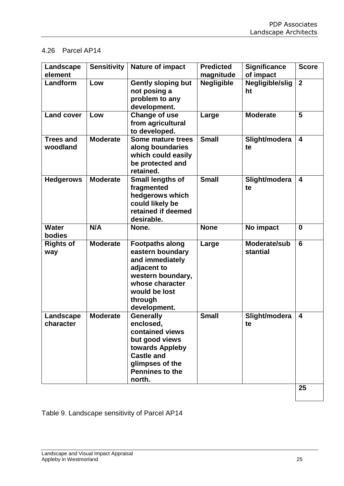## 4.26 Parcel AP14

| Landscape<br>element         | <b>Sensitivity</b> | <b>Nature of impact</b>                                                                                                                                           | <b>Predicted</b><br>magnitude | <b>Significance</b><br>of impact | <b>Score</b>            |
|------------------------------|--------------------|-------------------------------------------------------------------------------------------------------------------------------------------------------------------|-------------------------------|----------------------------------|-------------------------|
| Landform                     | Low                | <b>Gently sloping but</b><br>not posing a<br>problem to any<br>development.                                                                                       | <b>Negligible</b>             | Negligible/slig<br>ht            | $\overline{2}$          |
| <b>Land cover</b>            | Low                | <b>Change of use</b><br>from agricultural<br>to developed.                                                                                                        | Large                         | <b>Moderate</b>                  | 5                       |
| <b>Trees and</b><br>woodland | <b>Moderate</b>    | Some mature trees<br>along boundaries<br>which could easily<br>be protected and<br>retained.                                                                      | <b>Small</b>                  | Slight/modera<br>te              | $\overline{\mathbf{4}}$ |
| <b>Hedgerows</b>             | <b>Moderate</b>    | <b>Small lengths of</b><br>fragmented<br>hedgerows which<br>could likely be<br>retained if deemed<br>desirable.                                                   | <b>Small</b>                  | Slight/modera<br>te              | $\overline{\mathbf{4}}$ |
| <b>Water</b><br>bodies       | N/A                | None.                                                                                                                                                             | <b>None</b>                   | No impact                        | $\bf{0}$                |
| <b>Rights of</b><br>way      | <b>Moderate</b>    | <b>Footpaths along</b><br>eastern boundary<br>and immediately<br>adjacent to<br>western boundary,<br>whose character<br>would be lost<br>through<br>development.  | Large                         | Moderate/sub<br>stantial         | $6\phantom{1}6$         |
| Landscape<br>character       | <b>Moderate</b>    | <b>Generally</b><br>enclosed,<br>contained views<br>but good views<br>towards Appleby<br><b>Castle and</b><br>glimpses of the<br><b>Pennines to the</b><br>north. | <b>Small</b>                  | Slight/modera<br>te              | $\overline{\mathbf{4}}$ |
|                              |                    |                                                                                                                                                                   |                               |                                  | 25                      |

Table 9. Landscape sensitivity of Parcel AP14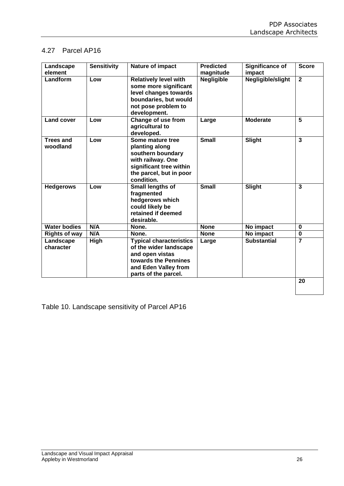## 4.27 Parcel AP16

| Landscape<br>element         | <b>Sensitivity</b> | Nature of impact                                                                                                                                    | <b>Predicted</b><br>magnitude | <b>Significance of</b><br>impact | <b>Score</b>   |
|------------------------------|--------------------|-----------------------------------------------------------------------------------------------------------------------------------------------------|-------------------------------|----------------------------------|----------------|
| Landform                     | Low                | <b>Relatively level with</b><br>some more significant<br>level changes towards<br>boundaries, but would<br>not pose problem to<br>development.      | <b>Negligible</b>             | Negligible/slight                | $\overline{2}$ |
| <b>Land cover</b>            | Low                | Change of use from<br>agricultural to<br>developed.                                                                                                 | Large                         | <b>Moderate</b>                  | 5              |
| <b>Trees and</b><br>woodland | Low                | Some mature tree<br>planting along<br>southern boundary<br>with railway. One<br>significant tree within<br>the parcel, but in poor<br>condition.    | <b>Small</b>                  | Slight                           | $\overline{3}$ |
| <b>Hedgerows</b>             | Low                | Small lengths of<br>fragmented<br>hedgerows which<br>could likely be<br>retained if deemed<br>desirable.                                            | <b>Small</b>                  | <b>Slight</b>                    | 3              |
| <b>Water bodies</b>          | N/A                | None.                                                                                                                                               | <b>None</b>                   | No impact                        | $\bf{0}$       |
| <b>Rights of way</b>         | N/A                | None.                                                                                                                                               | <b>None</b>                   | No impact                        | $\mathbf 0$    |
| Landscape<br>character       | High               | <b>Typical characteristics</b><br>of the wider landscape<br>and open vistas<br>towards the Pennines<br>and Eden Valley from<br>parts of the parcel. | Large                         | <b>Substantial</b>               | 7              |
|                              |                    |                                                                                                                                                     |                               |                                  | 20             |

Table 10. Landscape sensitivity of Parcel AP16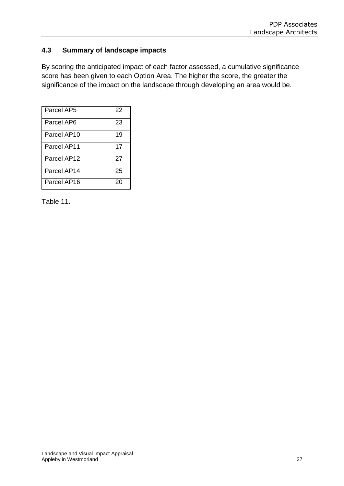## **4.3 Summary of landscape impacts**

By scoring the anticipated impact of each factor assessed, a cumulative significance score has been given to each Option Area. The higher the score, the greater the significance of the impact on the landscape through developing an area would be.

| Parcel AP5  | 22 |
|-------------|----|
| Parcel AP6  | 23 |
| Parcel AP10 | 19 |
| Parcel AP11 | 17 |
| Parcel AP12 | 27 |
| Parcel AP14 | 25 |
| Parcel AP16 | 20 |

Table 11.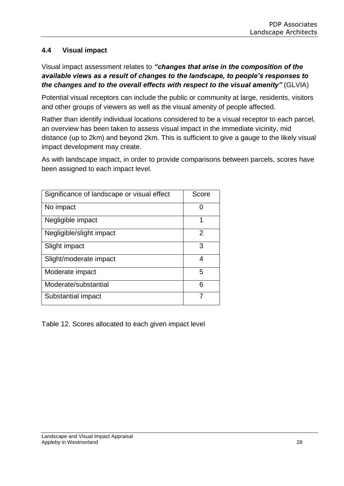## **4.4 Visual impact**

Visual impact assessment relates to *"changes that arise in the composition of the available views as a result of changes to the landscape, to people's responses to the changes and to the overall effects with respect to the visual amenity"* (GLVIA)

Potential visual receptors can include the public or community at large, residents, visitors and other groups of viewers as well as the visual amenity of people affected.

Rather than identify individual locations considered to be a visual receptor to each parcel, an overview has been taken to assess visual impact in the immediate vicinity, mid distance (up to 2km) and beyond 2km. This is sufficient to give a gauge to the likely visual impact development may create.

As with landscape impact, in order to provide comparisons between parcels, scores have been assigned to each impact level.

| Significance of landscape or visual effect | Score |
|--------------------------------------------|-------|
| No impact                                  |       |
| Negligible impact                          | 1     |
| Negligible/slight impact                   | 2     |
| Slight impact                              | 3     |
| Slight/moderate impact                     | 4     |
| Moderate impact                            | 5     |
| Moderate/substantial                       | 6     |
| Substantial impact                         |       |

Table 12. Scores allocated to each given impact level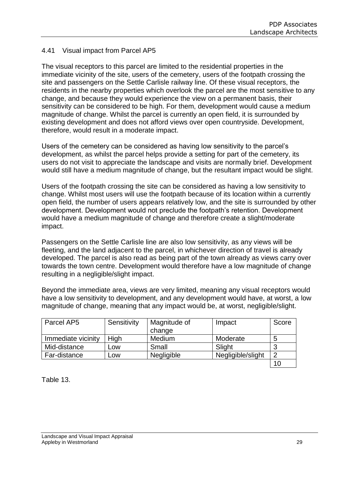### 4.41 Visual impact from Parcel AP5

The visual receptors to this parcel are limited to the residential properties in the immediate vicinity of the site, users of the cemetery, users of the footpath crossing the site and passengers on the Settle Carlisle railway line. Of these visual receptors, the residents in the nearby properties which overlook the parcel are the most sensitive to any change, and because they would experience the view on a permanent basis, their sensitivity can be considered to be high. For them, development would cause a medium magnitude of change. Whilst the parcel is currently an open field, it is surrounded by existing development and does not afford views over open countryside. Development, therefore, would result in a moderate impact.

Users of the cemetery can be considered as having low sensitivity to the parcel's development, as whilst the parcel helps provide a setting for part of the cemetery, its users do not visit to appreciate the landscape and visits are normally brief. Development would still have a medium magnitude of change, but the resultant impact would be slight.

Users of the footpath crossing the site can be considered as having a low sensitivity to change. Whilst most users will use the footpath because of its location within a currently open field, the number of users appears relatively low, and the site is surrounded by other development. Development would not preclude the footpath's retention. Development would have a medium magnitude of change and therefore create a slight/moderate impact.

Passengers on the Settle Carlisle line are also low sensitivity, as any views will be fleeting, and the land adjacent to the parcel, in whichever direction of travel is already developed. The parcel is also read as being part of the town already as views carry over towards the town centre. Development would therefore have a low magnitude of change resulting in a negligible/slight impact.

Beyond the immediate area, views are very limited, meaning any visual receptors would have a low sensitivity to development, and any development would have, at worst, a low magnitude of change, meaning that any impact would be, at worst, negligible/slight.

| Parcel AP5         | Sensitivity | Magnitude of | Impact            | Score          |
|--------------------|-------------|--------------|-------------------|----------------|
|                    |             | change       |                   |                |
| Immediate vicinity | High        | Medium       | Moderate          | 5              |
| Mid-distance       | Low         | Small        | Slight            | 3              |
| Far-distance       | Low         | Negligible   | Negligible/slight | $\overline{2}$ |
|                    |             |              |                   | 10             |

Table 13.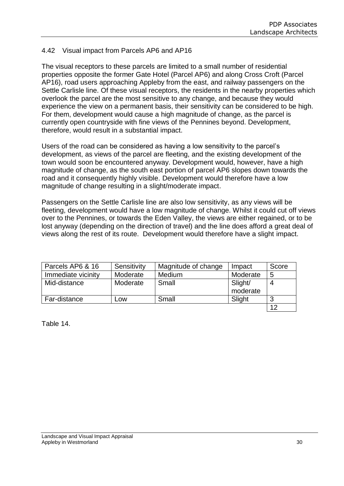## 4.42 Visual impact from Parcels AP6 and AP16

The visual receptors to these parcels are limited to a small number of residential properties opposite the former Gate Hotel (Parcel AP6) and along Cross Croft (Parcel AP16), road users approaching Appleby from the east, and railway passengers on the Settle Carlisle line. Of these visual receptors, the residents in the nearby properties which overlook the parcel are the most sensitive to any change, and because they would experience the view on a permanent basis, their sensitivity can be considered to be high. For them, development would cause a high magnitude of change, as the parcel is currently open countryside with fine views of the Pennines beyond. Development, therefore, would result in a substantial impact.

Users of the road can be considered as having a low sensitivity to the parcel's development, as views of the parcel are fleeting, and the existing development of the town would soon be encountered anyway. Development would, however, have a high magnitude of change, as the south east portion of parcel AP6 slopes down towards the road and it consequently highly visible. Development would therefore have a low magnitude of change resulting in a slight/moderate impact.

Passengers on the Settle Carlisle line are also low sensitivity, as any views will be fleeting, development would have a low magnitude of change. Whilst it could cut off views over to the Pennines, or towards the Eden Valley, the views are either regained, or to be lost anyway (depending on the direction of travel) and the line does afford a great deal of views along the rest of its route. Development would therefore have a slight impact.

| Parcels AP6 & 16   | Sensitivity | Magnitude of change | Impact              | Score |
|--------------------|-------------|---------------------|---------------------|-------|
| Immediate vicinity | Moderate    | Medium              | Moderate            | 5     |
| Mid-distance       | Moderate    | Small               | Slight/<br>moderate | 4     |
| Far-distance       | LOW         | Small               | Slight              | 3     |
|                    |             |                     |                     | 12    |

Table 14.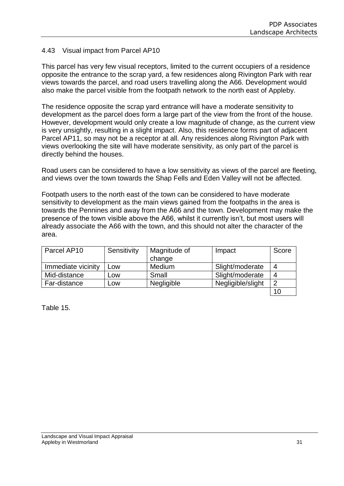## 4.43 Visual impact from Parcel AP10

This parcel has very few visual receptors, limited to the current occupiers of a residence opposite the entrance to the scrap yard, a few residences along Rivington Park with rear views towards the parcel, and road users travelling along the A66. Development would also make the parcel visible from the footpath network to the north east of Appleby.

The residence opposite the scrap yard entrance will have a moderate sensitivity to development as the parcel does form a large part of the view from the front of the house. However, development would only create a low magnitude of change, as the current view is very unsightly, resulting in a slight impact. Also, this residence forms part of adjacent Parcel AP11, so may not be a receptor at all. Any residences along Rivington Park with views overlooking the site will have moderate sensitivity, as only part of the parcel is directly behind the houses.

Road users can be considered to have a low sensitivity as views of the parcel are fleeting, and views over the town towards the Shap Fells and Eden Valley will not be affected.

Footpath users to the north east of the town can be considered to have moderate sensitivity to development as the main views gained from the footpaths in the area is towards the Pennines and away from the A66 and the town. Development may make the presence of the town visible above the A66, whilst it currently isn't, but most users will already associate the A66 with the town, and this should not alter the character of the area.

| Parcel AP10        | Sensitivity | Magnitude of | Impact            | Score          |
|--------------------|-------------|--------------|-------------------|----------------|
|                    |             | change       |                   |                |
| Immediate vicinity | Low         | Medium       | Slight/moderate   | 4              |
| Mid-distance       | <b>LOW</b>  | Small        | Slight/moderate   | 4              |
| Far-distance       | Low         | Negligible   | Negligible/slight | $\overline{2}$ |
|                    |             |              |                   | 10             |

Table 15.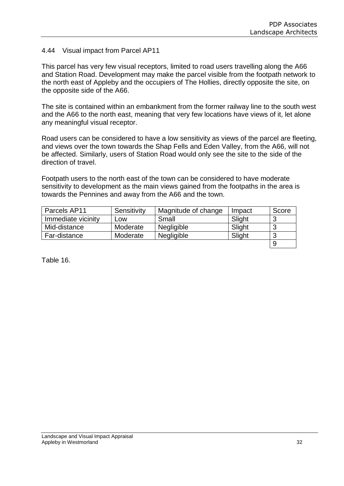#### 4.44 Visual impact from Parcel AP11

This parcel has very few visual receptors, limited to road users travelling along the A66 and Station Road. Development may make the parcel visible from the footpath network to the north east of Appleby and the occupiers of The Hollies, directly opposite the site, on the opposite side of the A66.

The site is contained within an embankment from the former railway line to the south west and the A66 to the north east, meaning that very few locations have views of it, let alone any meaningful visual receptor.

Road users can be considered to have a low sensitivity as views of the parcel are fleeting, and views over the town towards the Shap Fells and Eden Valley, from the A66, will not be affected. Similarly, users of Station Road would only see the site to the side of the direction of travel.

Footpath users to the north east of the town can be considered to have moderate sensitivity to development as the main views gained from the footpaths in the area is towards the Pennines and away from the A66 and the town.

| Parcels AP11       | Sensitivity | Magnitude of change | Impact | Score |
|--------------------|-------------|---------------------|--------|-------|
| Immediate vicinity | ∟OW         | Small               | Slight | ാ     |
| Mid-distance       | Moderate    | Negligible          | Slight | 3     |
| Far-distance       | Moderate    | Negligible          | Slight | -J    |
|                    |             |                     |        | 9     |

Table 16.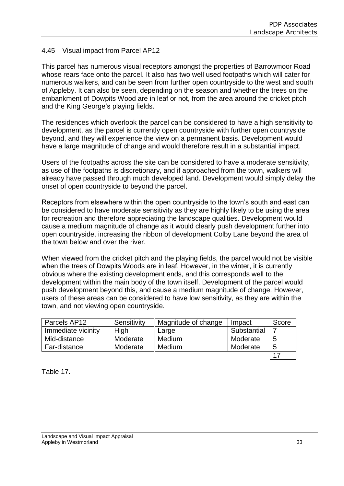### 4.45 Visual impact from Parcel AP12

This parcel has numerous visual receptors amongst the properties of Barrowmoor Road whose rears face onto the parcel. It also has two well used footpaths which will cater for numerous walkers, and can be seen from further open countryside to the west and south of Appleby. It can also be seen, depending on the season and whether the trees on the embankment of Dowpits Wood are in leaf or not, from the area around the cricket pitch and the King George's playing fields.

The residences which overlook the parcel can be considered to have a high sensitivity to development, as the parcel is currently open countryside with further open countryside beyond, and they will experience the view on a permanent basis. Development would have a large magnitude of change and would therefore result in a substantial impact.

Users of the footpaths across the site can be considered to have a moderate sensitivity, as use of the footpaths is discretionary, and if approached from the town, walkers will already have passed through much developed land. Development would simply delay the onset of open countryside to beyond the parcel.

Receptors from elsewhere within the open countryside to the town's south and east can be considered to have moderate sensitivity as they are highly likely to be using the area for recreation and therefore appreciating the landscape qualities. Development would cause a medium magnitude of change as it would clearly push development further into open countryside, increasing the ribbon of development Colby Lane beyond the area of the town below and over the river.

When viewed from the cricket pitch and the playing fields, the parcel would not be visible when the trees of Dowpits Woods are in leaf. However, in the winter, it is currently obvious where the existing development ends, and this corresponds well to the development within the main body of the town itself. Development of the parcel would push development beyond this, and cause a medium magnitude of change. However, users of these areas can be considered to have low sensitivity, as they are within the town, and not viewing open countryside.

| Parcels AP12       | Sensitivity | Magnitude of change | Impact      | Score |
|--------------------|-------------|---------------------|-------------|-------|
| Immediate vicinity | High        | Large               | Substantial |       |
| Mid-distance       | Moderate    | Medium              | Moderate    | 5     |
| Far-distance       | Moderate    | Medium              | Moderate    | 5     |
|                    |             |                     |             | 17    |

Table 17.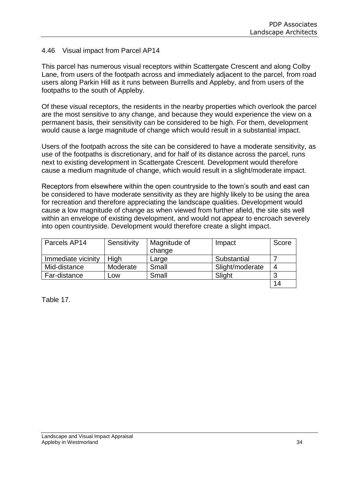#### 4.46 Visual impact from Parcel AP14

This parcel has numerous visual receptors within Scattergate Crescent and along Colby Lane, from users of the footpath across and immediately adjacent to the parcel, from road users along Parkin Hill as it runs between Burrells and Appleby, and from users of the footpaths to the south of Appleby.

Of these visual receptors, the residents in the nearby properties which overlook the parcel are the most sensitive to any change, and because they would experience the view on a permanent basis, their sensitivity can be considered to be high. For them, development would cause a large magnitude of change which would result in a substantial impact.

Users of the footpath across the site can be considered to have a moderate sensitivity, as use of the footpaths is discretionary, and for half of its distance across the parcel, runs next to existing development in Scattergate Crescent. Development would therefore cause a medium magnitude of change, which would result in a slight/moderate impact.

Receptors from elsewhere within the open countryside to the town's south and east can be considered to have moderate sensitivity as they are highly likely to be using the area for recreation and therefore appreciating the landscape qualities. Development would cause a low magnitude of change as when viewed from further afield, the site sits well within an envelope of existing development, and would not appear to encroach severely into open countryside. Development would therefore create a slight impact.

| Parcels AP14       | Sensitivity | Magnitude of | Impact          | Score |
|--------------------|-------------|--------------|-----------------|-------|
|                    |             | change       |                 |       |
| Immediate vicinity | High        | Large        | Substantial     |       |
| Mid-distance       | Moderate    | Small        | Slight/moderate | 4     |
| Far-distance       | Low         | Small        | Slight          | ാ     |
|                    |             |              |                 | 14    |

Table 17.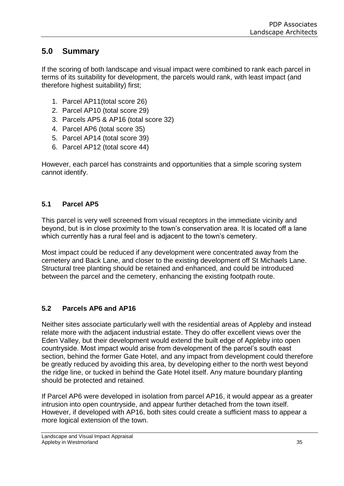## **5.0 Summary**

If the scoring of both landscape and visual impact were combined to rank each parcel in terms of its suitability for development, the parcels would rank, with least impact (and therefore highest suitability) first;

- 1. Parcel AP11(total score 26)
- 2. Parcel AP10 (total score 29)
- 3. Parcels AP5 & AP16 (total score 32)
- 4. Parcel AP6 (total score 35)
- 5. Parcel AP14 (total score 39)
- 6. Parcel AP12 (total score 44)

However, each parcel has constraints and opportunities that a simple scoring system cannot identify.

## **5.1 Parcel AP5**

This parcel is very well screened from visual receptors in the immediate vicinity and beyond, but is in close proximity to the town's conservation area. It is located off a lane which currently has a rural feel and is adjacent to the town's cemetery.

Most impact could be reduced if any development were concentrated away from the cemetery and Back Lane, and closer to the existing development off St Michaels Lane. Structural tree planting should be retained and enhanced, and could be introduced between the parcel and the cemetery, enhancing the existing footpath route.

## **5.2 Parcels AP6 and AP16**

Neither sites associate particularly well with the residential areas of Appleby and instead relate more with the adjacent industrial estate. They do offer excellent views over the Eden Valley, but their development would extend the built edge of Appleby into open countryside. Most impact would arise from development of the parcel's south east section, behind the former Gate Hotel, and any impact from development could therefore be greatly reduced by avoiding this area, by developing either to the north west beyond the ridge line, or tucked in behind the Gate Hotel itself. Any mature boundary planting should be protected and retained.

If Parcel AP6 were developed in isolation from parcel AP16, it would appear as a greater intrusion into open countryside, and appear further detached from the town itself. However, if developed with AP16, both sites could create a sufficient mass to appear a more logical extension of the town.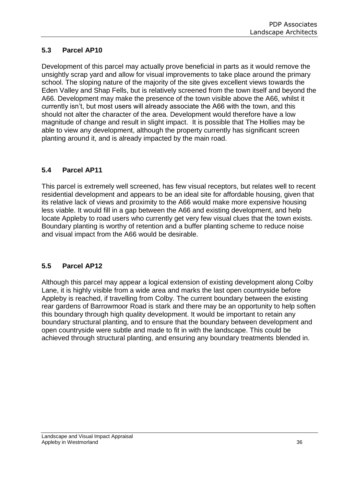## **5.3 Parcel AP10**

Development of this parcel may actually prove beneficial in parts as it would remove the unsightly scrap yard and allow for visual improvements to take place around the primary school. The sloping nature of the majority of the site gives excellent views towards the Eden Valley and Shap Fells, but is relatively screened from the town itself and beyond the A66. Development may make the presence of the town visible above the A66, whilst it currently isn't, but most users will already associate the A66 with the town, and this should not alter the character of the area. Development would therefore have a low magnitude of change and result in slight impact. It is possible that The Hollies may be able to view any development, although the property currently has significant screen planting around it, and is already impacted by the main road.

## **5.4 Parcel AP11**

This parcel is extremely well screened, has few visual receptors, but relates well to recent residential development and appears to be an ideal site for affordable housing, given that its relative lack of views and proximity to the A66 would make more expensive housing less viable. It would fill in a gap between the A66 and existing development, and help locate Appleby to road users who currently get very few visual clues that the town exists. Boundary planting is worthy of retention and a buffer planting scheme to reduce noise and visual impact from the A66 would be desirable.

## **5.5 Parcel AP12**

Although this parcel may appear a logical extension of existing development along Colby Lane, it is highly visible from a wide area and marks the last open countryside before Appleby is reached, if travelling from Colby. The current boundary between the existing rear gardens of Barrowmoor Road is stark and there may be an opportunity to help soften this boundary through high quality development. It would be important to retain any boundary structural planting, and to ensure that the boundary between development and open countryside were subtle and made to fit in with the landscape. This could be achieved through structural planting, and ensuring any boundary treatments blended in.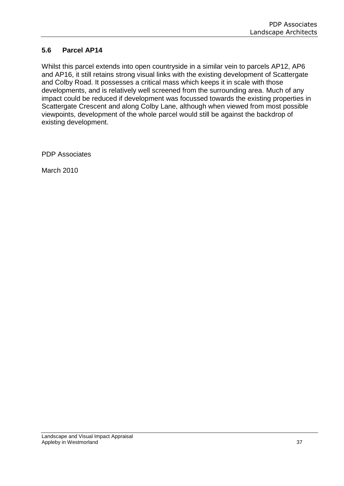## **5.6 Parcel AP14**

Whilst this parcel extends into open countryside in a similar vein to parcels AP12, AP6 and AP16, it still retains strong visual links with the existing development of Scattergate and Colby Road. It possesses a critical mass which keeps it in scale with those developments, and is relatively well screened from the surrounding area. Much of any impact could be reduced if development was focussed towards the existing properties in Scattergate Crescent and along Colby Lane, although when viewed from most possible viewpoints, development of the whole parcel would still be against the backdrop of existing development.

PDP Associates

March 2010